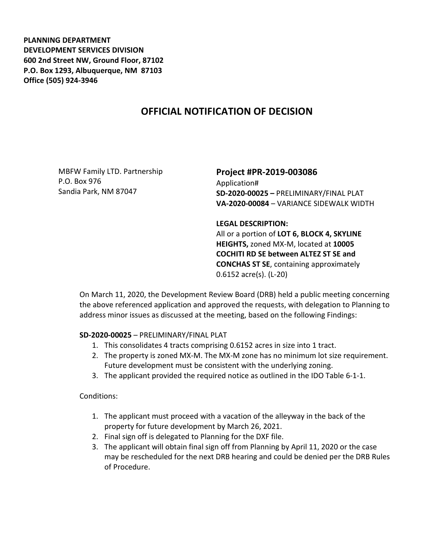**PLANNING DEPARTMENT DEVELOPMENT SERVICES DIVISION 600 2nd Street NW, Ground Floor, 87102 P.O. Box 1293, Albuquerque, NM 87103 Office (505) 924-3946** 

# **OFFICIAL NOTIFICATION OF DECISION**

MBFW Family LTD. Partnership P.O. Box 976 Sandia Park, NM 87047

# **Project #PR-2019-003086**

Application# **SD-2020-00025 –** PRELIMINARY/FINAL PLAT **VA-2020-00084** – VARIANCE SIDEWALK WIDTH

#### **LEGAL DESCRIPTION:**

All or a portion of **LOT 6, BLOCK 4, SKYLINE HEIGHTS,** zoned MX-M, located at **10005 COCHITI RD SE between ALTEZ ST SE and CONCHAS ST SE**, containing approximately 0.6152 acre(s). (L-20)

On March 11, 2020, the Development Review Board (DRB) held a public meeting concerning the above referenced application and approved the requests, with delegation to Planning to address minor issues as discussed at the meeting, based on the following Findings:

## **SD-2020-00025** – PRELIMINARY/FINAL PLAT

- 1. This consolidates 4 tracts comprising 0.6152 acres in size into 1 tract.
- 2. The property is zoned MX-M. The MX-M zone has no minimum lot size requirement. Future development must be consistent with the underlying zoning.
- 3. The applicant provided the required notice as outlined in the IDO Table 6-1-1.

Conditions:

- 1. The applicant must proceed with a vacation of the alleyway in the back of the property for future development by March 26, 2021.
- 2. Final sign off is delegated to Planning for the DXF file.
- 3. The applicant will obtain final sign off from Planning by April 11, 2020 or the case may be rescheduled for the next DRB hearing and could be denied per the DRB Rules of Procedure.